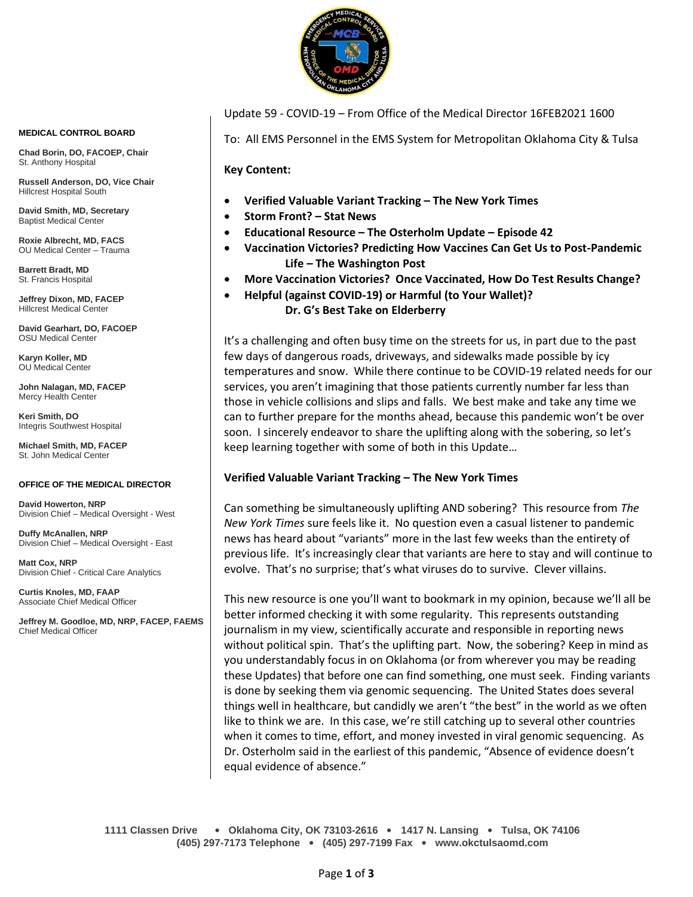

Update 59 - COVID-19 – From Office of the Medical Director 16FEB2021 1600

To: All EMS Personnel in the EMS System for Metropolitan Oklahoma City & Tulsa

**Key Content:**

- **Verified Valuable Variant Tracking – The New York Times**
- **Storm Front? – Stat News**
- **Educational Resource – The Osterholm Update – Episode 42**
- **Vaccination Victories? Predicting How Vaccines Can Get Us to Post-Pandemic Life – The Washington Post**
- **More Vaccination Victories? Once Vaccinated, How Do Test Results Change?**
- **Helpful (against COVID-19) or Harmful (to Your Wallet)?**
	- **Dr. G's Best Take on Elderberry**

It's a challenging and often busy time on the streets for us, in part due to the past few days of dangerous roads, driveways, and sidewalks made possible by icy temperatures and snow. While there continue to be COVID-19 related needs for our services, you aren't imagining that those patients currently number far less than those in vehicle collisions and slips and falls. We best make and take any time we can to further prepare for the months ahead, because this pandemic won't be over soon. I sincerely endeavor to share the uplifting along with the sobering, so let's keep learning together with some of both in this Update…

# **Verified Valuable Variant Tracking – The New York Times**

Can something be simultaneously uplifting AND sobering? This resource from *The New York Times* sure feels like it. No question even a casual listener to pandemic news has heard about "variants" more in the last few weeks than the entirety of previous life. It's increasingly clear that variants are here to stay and will continue to evolve. That's no surprise; that's what viruses do to survive. Clever villains.

This new resource is one you'll want to bookmark in my opinion, because we'll all be better informed checking it with some regularity. This represents outstanding journalism in my view, scientifically accurate and responsible in reporting news without political spin. That's the uplifting part. Now, the sobering? Keep in mind as you understandably focus in on Oklahoma (or from wherever you may be reading these Updates) that before one can find something, one must seek. Finding variants is done by seeking them via genomic sequencing. The United States does several things well in healthcare, but candidly we aren't "the best" in the world as we often like to think we are. In this case, we're still catching up to several other countries when it comes to time, effort, and money invested in viral genomic sequencing. As Dr. Osterholm said in the earliest of this pandemic, "Absence of evidence doesn't equal evidence of absence."

#### **MEDICAL CONTROL BOARD**

**Chad Borin, DO, FACOEP, Chair**  St. Anthony Hospital

**Russell Anderson, DO, Vice Chair** Hillcrest Hospital South

**David Smith, MD, Secretary** Baptist Medical Center

**Roxie Albrecht, MD, FACS** OU Medical Center – Trauma

**Barrett Bradt, MD** St. Francis Hospital

**Jeffrey Dixon, MD, FACEP** Hillcrest Medical Center

**David Gearhart, DO, FACOEP** OSU Medical Center

**Karyn Koller, MD** OU Medical Center

**John Nalagan, MD, FACEP** Mercy Health Center

**Keri Smith, DO** Integris Southwest Hospital

**Michael Smith, MD, FACEP** St. John Medical Center

#### **OFFICE OF THE MEDICAL DIRECTOR**

**David Howerton, NRP** Division Chief – Medical Oversight - West

**Duffy McAnallen, NRP** Division Chief – Medical Oversight - East

**Matt Cox, NRP** Division Chief - Critical Care Analytics

**Curtis Knoles, MD, FAAP** Associate Chief Medical Officer

**Jeffrey M. Goodloe, MD, NRP, FACEP, FAEMS** Chief Medical Officer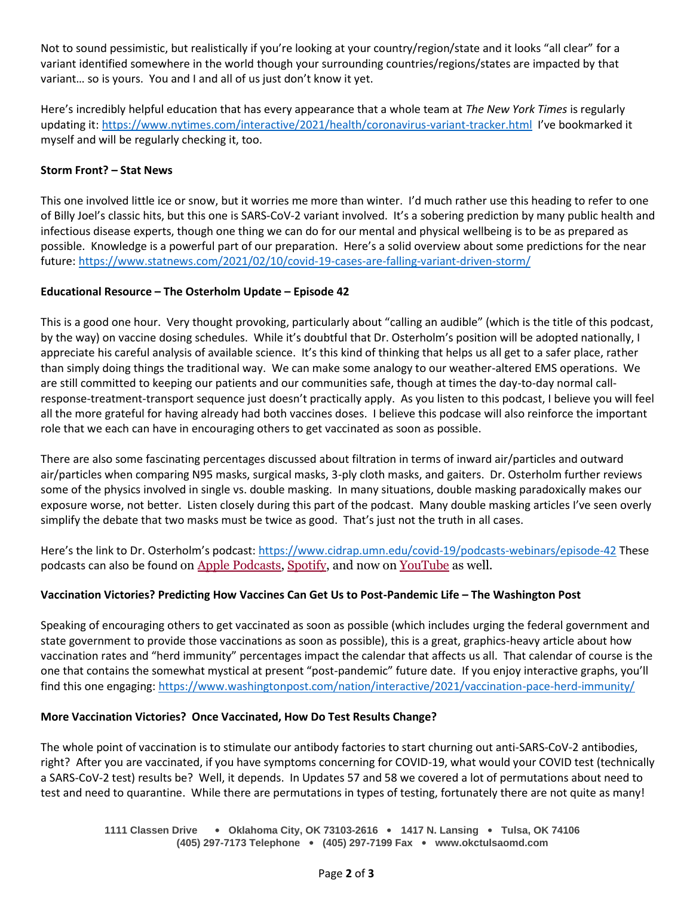Not to sound pessimistic, but realistically if you're looking at your country/region/state and it looks "all clear" for a variant identified somewhere in the world though your surrounding countries/regions/states are impacted by that variant… so is yours. You and I and all of us just don't know it yet.

Here's incredibly helpful education that has every appearance that a whole team at *The New York Times* is regularly updating it:<https://www.nytimes.com/interactive/2021/health/coronavirus-variant-tracker.html>I've bookmarked it myself and will be regularly checking it, too.

## **Storm Front? – Stat News**

This one involved little ice or snow, but it worries me more than winter. I'd much rather use this heading to refer to one of Billy Joel's classic hits, but this one is SARS-CoV-2 variant involved. It's a sobering prediction by many public health and infectious disease experts, though one thing we can do for our mental and physical wellbeing is to be as prepared as possible. Knowledge is a powerful part of our preparation. Here's a solid overview about some predictions for the near future:<https://www.statnews.com/2021/02/10/covid-19-cases-are-falling-variant-driven-storm/>

## **Educational Resource – The Osterholm Update – Episode 42**

This is a good one hour. Very thought provoking, particularly about "calling an audible" (which is the title of this podcast, by the way) on vaccine dosing schedules. While it's doubtful that Dr. Osterholm's position will be adopted nationally, I appreciate his careful analysis of available science. It's this kind of thinking that helps us all get to a safer place, rather than simply doing things the traditional way. We can make some analogy to our weather-altered EMS operations. We are still committed to keeping our patients and our communities safe, though at times the day-to-day normal callresponse-treatment-transport sequence just doesn't practically apply. As you listen to this podcast, I believe you will feel all the more grateful for having already had both vaccines doses. I believe this podcase will also reinforce the important role that we each can have in encouraging others to get vaccinated as soon as possible.

There are also some fascinating percentages discussed about filtration in terms of inward air/particles and outward air/particles when comparing N95 masks, surgical masks, 3-ply cloth masks, and gaiters. Dr. Osterholm further reviews some of the physics involved in single vs. double masking. In many situations, double masking paradoxically makes our exposure worse, not better. Listen closely during this part of the podcast. Many double masking articles I've seen overly simplify the debate that two masks must be twice as good. That's just not the truth in all cases.

Here's the link to Dr. Osterholm's podcast: <https://www.cidrap.umn.edu/covid-19/podcasts-webinars/episode-42> These podcasts can also be found on [Apple Podcasts,](https://podcasts.apple.com/us/podcast/the-osterholm-update-covid-19/id1504360345) [Spotify,](https://open.spotify.com/show/0ymlroFYVlSAnoq0uqECGx) and now on [YouTube](https://www.youtube.com/c/OsterholmUpdateCOVID19) as well.

# **Vaccination Victories? Predicting How Vaccines Can Get Us to Post-Pandemic Life – The Washington Post**

Speaking of encouraging others to get vaccinated as soon as possible (which includes urging the federal government and state government to provide those vaccinations as soon as possible), this is a great, graphics-heavy article about how vaccination rates and "herd immunity" percentages impact the calendar that affects us all. That calendar of course is the one that contains the somewhat mystical at present "post-pandemic" future date. If you enjoy interactive graphs, you'll find this one engaging:<https://www.washingtonpost.com/nation/interactive/2021/vaccination-pace-herd-immunity/>

## **More Vaccination Victories? Once Vaccinated, How Do Test Results Change?**

The whole point of vaccination is to stimulate our antibody factories to start churning out anti-SARS-CoV-2 antibodies, right? After you are vaccinated, if you have symptoms concerning for COVID-19, what would your COVID test (technically a SARS-CoV-2 test) results be? Well, it depends. In Updates 57 and 58 we covered a lot of permutations about need to test and need to quarantine. While there are permutations in types of testing, fortunately there are not quite as many!